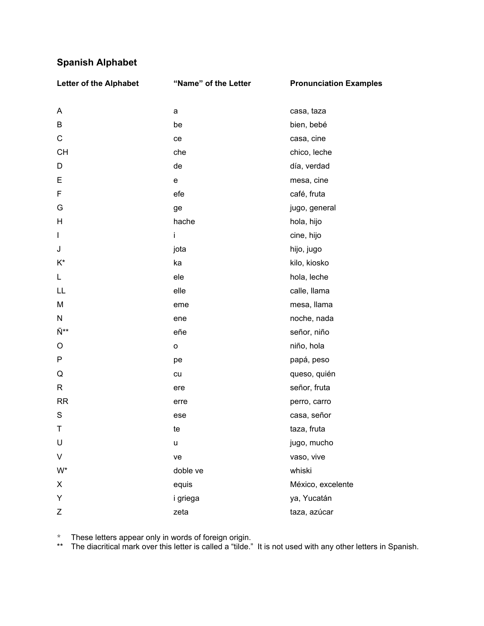# **Spanish Alphabet**

| <b>Letter of the Alphabet</b> | "Name" of the Letter | <b>Pronunciation Examples</b> |
|-------------------------------|----------------------|-------------------------------|
| Α                             | a                    | casa, taza                    |
| B                             | be                   | bien, bebé                    |
| $\mathsf C$                   | ce                   | casa, cine                    |
| <b>CH</b>                     | che                  | chico, leche                  |
| D                             | de                   | día, verdad                   |
| E                             | ${\mathsf e}$        | mesa, cine                    |
| F                             | efe                  | café, fruta                   |
| G                             | ge                   | jugo, general                 |
| H                             | hache                | hola, hijo                    |
| $\mathbf{I}$                  | İ.                   | cine, hijo                    |
| J                             | jota                 | hijo, jugo                    |
| $K^*$                         | ka                   | kilo, kiosko                  |
| L                             | ele                  | hola, leche                   |
| LL                            | elle                 | calle, llama                  |
| M                             | eme                  | mesa, Ilama                   |
| N                             | ene                  | noche, nada                   |
| Ñ**                           | eñe                  | señor, niño                   |
| O                             | $\mathsf{o}\xspace$  | niño, hola                    |
| ${\sf P}$                     | pe                   | papá, peso                    |
| Q                             | cu                   | queso, quién                  |
| $\mathsf{R}$                  | ere                  | señor, fruta                  |
| <b>RR</b>                     | erre                 | perro, carro                  |
| ${\mathsf S}$                 | ese                  | casa, señor                   |
| Τ                             | te                   | taza, fruta                   |
| U                             | u                    | jugo, mucho                   |
| V                             | ve                   | vaso, vive                    |
| $W^*$                         | doble ve             | whiski                        |
| X                             | equis                | México, excelente             |
| Υ                             | i griega             | ya, Yucatán                   |
| Z                             | zeta                 | taza, azúcar                  |

\* These letters appear only in words of foreign origin.

\*\* The diacritical mark over this letter is called a "tilde." It is not used with any other letters in Spanish.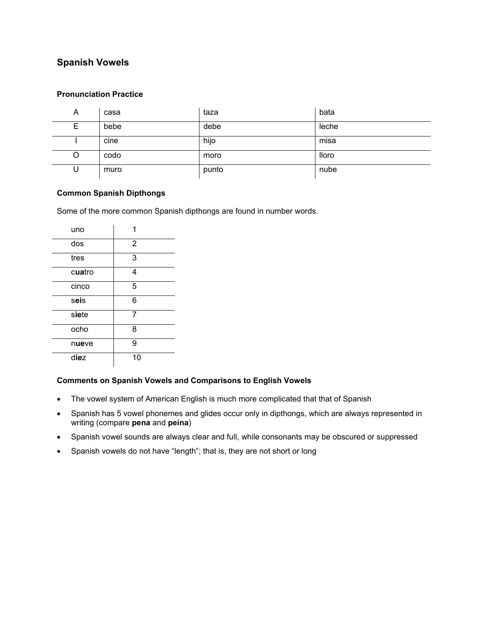## **Spanish Vowels**

#### **Pronunciation Practice**

| A | casa | taza  | bata  |
|---|------|-------|-------|
| Е | bebe | debe  | leche |
|   | cine | hijo  | misa  |
| O | codo | moro  | lloro |
| U | muro | punto | nube  |

#### **Common Spanish Dipthongs**

Some of the more common Spanish dipthongs are found in number words.

| uno    |                |
|--------|----------------|
| dos    | $\overline{2}$ |
| tres   | 3              |
| cuatro | 4              |
| cinco  | 5              |
| seis   | 6              |
| siete  | 7              |
| ocho   | 8              |
| nueve  | 9              |
| diez   | 10             |

### **Comments on Spanish Vowels and Comparisons to English Vowels**

- The vowel system of American English is much more complicated that that of Spanish
- Spanish has 5 vowel phonemes and glides occur only in dipthongs, which are always represented in writing (compare **pena** and **peina**)
- Spanish vowel sounds are always clear and full, while consonants may be obscured or suppressed
- Spanish vowels do not have "length"; that is, they are not short or long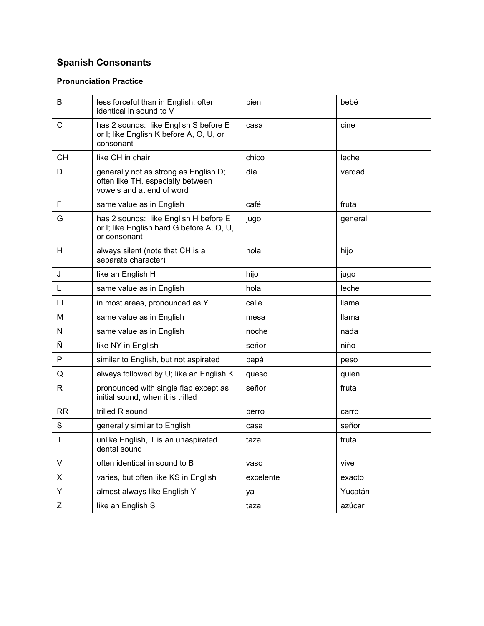# **Spanish Consonants**

## **Pronunciation Practice**

| B            | less forceful than in English; often<br>identical in sound to V                                         | bien      | bebé         |
|--------------|---------------------------------------------------------------------------------------------------------|-----------|--------------|
| C            | has 2 sounds: like English S before E<br>or I; like English K before A, O, U, or<br>consonant           | casa      | cine         |
| <b>CH</b>    | like CH in chair                                                                                        | chico     | leche        |
| D            | generally not as strong as English D;<br>often like TH, especially between<br>vowels and at end of word | día       | verdad       |
| F            | same value as in English                                                                                | café      | fruta        |
| G            | has 2 sounds: like English H before E<br>or I; like English hard G before A, O, U,<br>or consonant      | jugo      | general      |
| H            | always silent (note that CH is a<br>separate character)                                                 | hola      | hijo         |
| J            | like an English H                                                                                       | hijo      | jugo         |
| L            | same value as in English                                                                                | hola      | leche        |
| LL           | in most areas, pronounced as Y                                                                          | calle     | <b>Ilama</b> |
| M            | same value as in English                                                                                | mesa      | llama        |
| ${\sf N}$    | same value as in English                                                                                | noche     | nada         |
| Ñ            | like NY in English                                                                                      | señor     | niño         |
| P            | similar to English, but not aspirated                                                                   | papá      | peso         |
| Q            | always followed by U; like an English K                                                                 | queso     | quien        |
| $\mathsf{R}$ | pronounced with single flap except as<br>initial sound, when it is trilled                              | señor     | fruta        |
| <b>RR</b>    | trilled R sound                                                                                         | perro     | carro        |
| S            | generally similar to English                                                                            | casa      | señor        |
| Τ            | unlike English, T is an unaspirated<br>dental sound                                                     | taza      | fruta        |
| V            | often identical in sound to B                                                                           | vaso      | vive         |
| X            | varies, but often like KS in English                                                                    | excelente | exacto       |
| Y            | almost always like English Y                                                                            | ya        | Yucatán      |
| Z            | like an English S                                                                                       | taza      | azúcar       |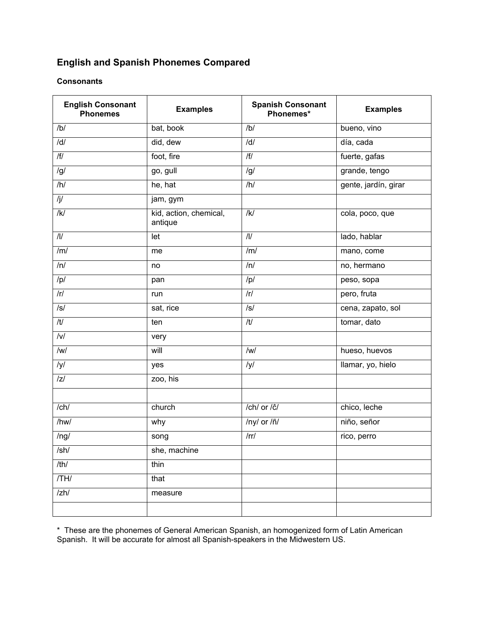## **English and Spanish Phonemes Compared**

### **Consonants**

| <b>English Consonant</b><br><b>Phonemes</b> | <b>Examples</b>                   | <b>Spanish Consonant</b><br>Phonemes* | <b>Examples</b>      |
|---------------------------------------------|-----------------------------------|---------------------------------------|----------------------|
| /b/                                         | bat, book                         | /b/                                   | bueno, vino          |
| $\overline{d}$                              | did, dew                          | /d/                                   | día, cada            |
| $\sqrt{f/}$                                 | foot, fire                        | $\overline{H}$                        | fuerte, gafas        |
| /g/                                         | go, gull                          | /g/                                   | grande, tengo        |
| /h/                                         | he, hat                           | /h/                                   | gente, jardín, girar |
| $\sqrt{j}$                                  | jam, gym                          |                                       |                      |
| $\overline{K}$                              | kid, action, chemical,<br>antique | /K/                                   | cola, poco, que      |
| $\overline{\mathbb{U}}$                     | let                               | $\overline{\mathcal{U}}$              | lado, hablar         |
| /m/                                         | me                                | /m/                                   | mano, come           |
| $\overline{m}$                              | no                                | /n/                                   | no, hermano          |
| /p/                                         | pan                               | /p/                                   | peso, sopa           |
| $\sqrt{r}$                                  | run                               | $\sqrt{r}$                            | pero, fruta          |
| $\overline{\mathcal{S}}$                    | sat, rice                         | $\sqrt{s}$                            | cena, zapato, sol    |
| $\overline{t}$                              | ten                               | /t/                                   | tomar, dato          |
| $\overline{N}$                              | very                              |                                       |                      |
| $\overline{w}$                              | will                              | $\sqrt{W}$                            | hueso, huevos        |
| /y/                                         | yes                               | /y/                                   | llamar, yo, hielo    |
| z                                           | zoo, his                          |                                       |                      |
|                                             |                                   |                                       |                      |
| $/$ ch $/$                                  | church                            | /ch/ or /ĉ/                           | chico, leche         |
| /hw/                                        | why                               | /ny/ or /ñ/                           | niño, señor          |
| /ng/                                        | song                              | $\prime$ rr $\prime$                  | rico, perro          |
| /sh/                                        | she, machine                      |                                       |                      |
| /th/                                        | thin                              |                                       |                      |
| $\overline{THI}$                            | that                              |                                       |                      |
| $/zh$ /                                     | measure                           |                                       |                      |
|                                             |                                   |                                       |                      |

\* These are the phonemes of General American Spanish, an homogenized form of Latin American Spanish. It will be accurate for almost all Spanish-speakers in the Midwestern US.